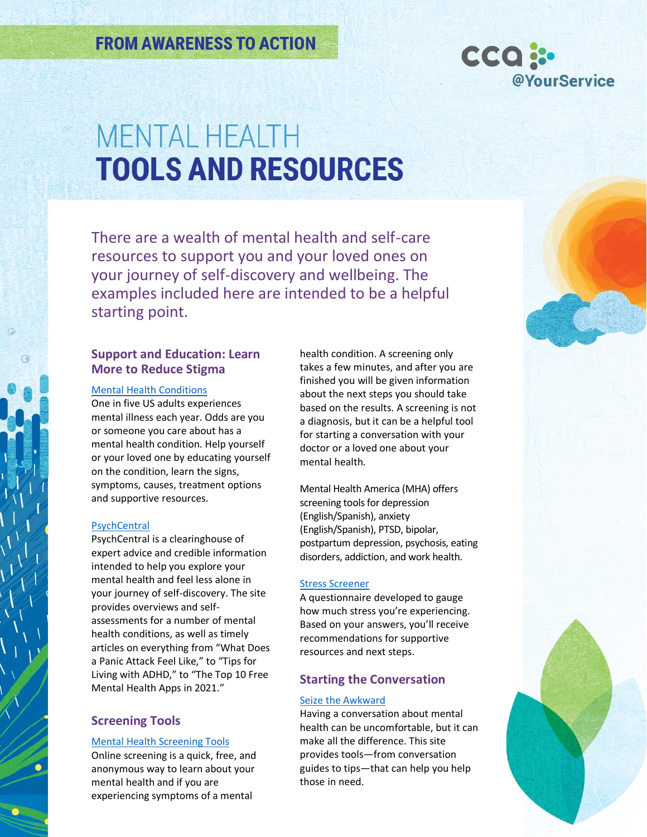

There are a wealth of mental health and self-care resources to support you and your loved ones on your journey of self-discovery and wellbeing. The examples included here are intended to be a helpful starting point.

# **Support and Education: Learn More to Reduce Stigma**

### [Mental Health Conditions](https://nami.org/About-Mental-Illness/Mental-Health-Conditions)

One in five US adults experiences mental illness each year. Odds are you or someone you care about has a mental health condition. Help yourself or your loved one by educating yourself on the condition, learn the signs, symptoms, causes, treatment options and supportive resources.

### **[PsychCentral](https://psychcentral.com/)**

PsychCentral is a clearinghouse of expert advice and credible information intended to help you explore your mental health and feel less alone in your journey of self-discovery. The site provides overviews and selfassessments for a number of mental health conditions, as well as timely articles on everything from "What Does a Panic Attack Feel Like," to "Tips for Living with ADHD," to "The Top 10 Free Mental Health Apps in 2021."

# **Screening Tools**

## [Mental Health Screening Tools](https://screening.mhanational.org/screening-tools/)

Online screening is a quick, free, and anonymous way to learn about your mental health and if you are experiencing symptoms of a mental

health condition. A screening only takes a few minutes, and after you are finished you will be given information about the next steps you should take based on the results. A screening is not a diagnosis, but it can be a helpful tool for starting a conversation with your doctor or a loved one about your mental health.

Mental Health America (MHA) offers screening tools for depression (English/Spanish), anxiety (English/Spanish), PTSD, bipolar, postpartum depression, psychosis, eating disorders, addiction, and work health.

## [Stress Screener](https://www.mhanational.org/get-involved/stress-screener)

A questionnaire developed to gauge how much stress you're experiencing. Based on your answers, you'll receive recommendations for supportive resources and next steps.

# **Starting the Conversation**

## [Seize the Awkward](https://www.seizetheawkward.com/)

Having a conversation about mental health can be uncomfortable, but it can make all the difference. This site provides tools—from conversation guides to tips—that can help you help those in need.

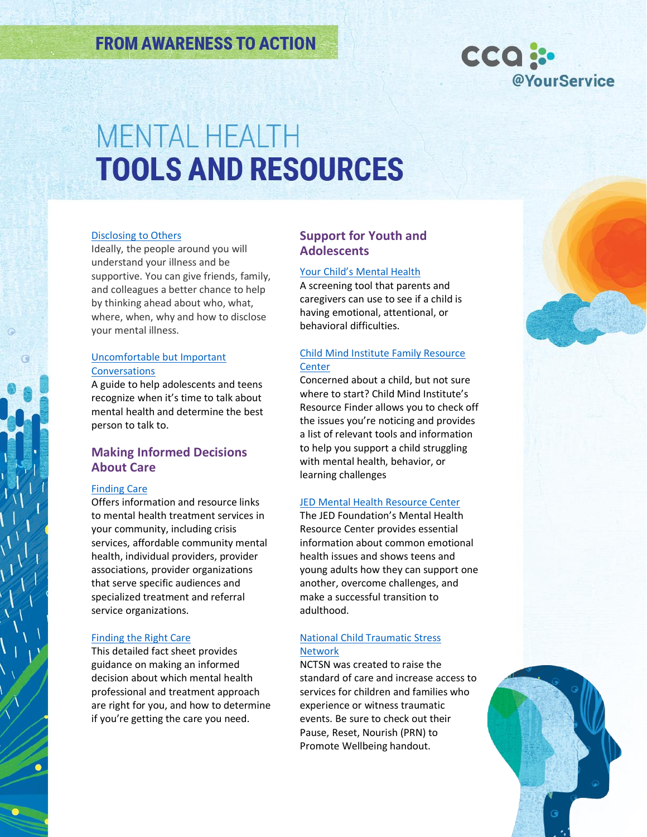

### [Disclosing to Others](https://nami.org/Your-Journey/Individuals-with-Mental-Illness/Disclosing-to-Others)

Ideally, the people around you will understand your illness and be supportive. You can give friends, family, and colleagues a better chance to help by thinking ahead about who, what, where, when, why and how to disclose your mental illness.

## [Uncomfortable but Important](https://mhanational.org/time-talk-uncomfortable-important)  [Conversations](https://mhanational.org/time-talk-uncomfortable-important)

A guide to help adolescents and teens recognize when it's time to talk about mental health and determine the best person to talk to.

# **Making Informed Decisions About Care**

## [Finding Care](https://mhanational.org/finding-therapy)

Offers information and resource links to mental health treatment services in your community, including crisis services, affordable community mental health, individual providers, provider associations, provider organizations that serve specific audiences and specialized treatment and referral service organizations.

### [Finding the Right Care](https://mhanational.org/finding-right-mental-health-care-you)

This detailed fact sheet provides guidance on making an informed decision about which mental health professional and treatment approach are right for you, and how to determine if you're getting the care you need.

# **Support for Youth and Adolescents**

### Your Child's [Mental Health](https://screening.mhanational.org/screening-tools/parent/?ref)

A screening tool that parents and caregivers can use to see if a child is having emotional, attentional, or behavioral difficulties.

## [Child Mind Institute Family Resource](https://childmind.org/resource-finder/)  **[Center](https://childmind.org/resource-finder/)**

Concerned about a child, but not sure where to start? Child Mind Institute's Resource Finder allows you to check off the issues you're noticing and provides a list of relevant tools and information to help you support a child struggling with mental health, behavior, or learning challenges

## [JED Mental Health Resource Center](https://jedfoundation.org/mental-health-resource-center/?_ga=2.190281387.1258897080.1649616608-1351552835.1649616608)

The JED Foundation's Mental Health Resource Center provides essential information about common emotional health issues and shows teens and young adults how they can support one another, overcome challenges, and make a successful transition to adulthood.

## [National Child Traumatic Stress](https://www.nctsn.org/)  **[Network](https://www.nctsn.org/)**

NCTSN was created to raise the standard of care and increase access to services for children and families who experience or witness traumatic events. Be sure to check out their Pause, Reset, Nourish (PRN) to Promote Wellbeing handout.

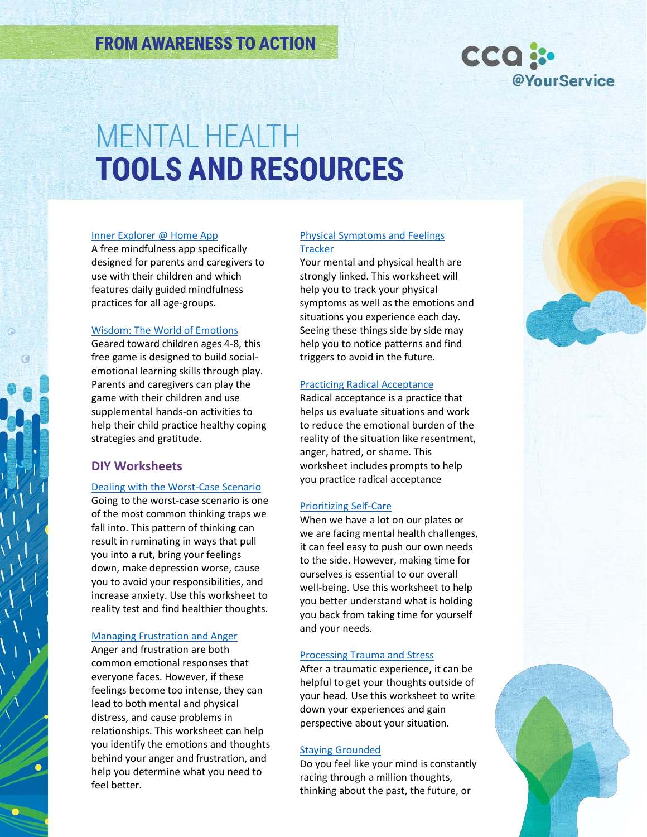

#### [Inner Explorer @ Home App](https://innerexplorer.org/homeapp/)

A free mindfulness app specifically designed for parents and caregivers to use with their children and which features daily guided mindfulness practices for all age-groups.

### [Wisdom: The World of Emotions](https://betterkids.education/)

Geared toward children ages 4-8, this free game is designed to build socialemotional learning skills through play. Parents and caregivers can play the game with their children and use supplemental hands-on activities to help their child practice healthy coping strategies and gratitude.

# **DIY Worksheets**

## [Dealing with the Worst-Case Scenario](https://mhanational.org/sites/default/files/Worksheet%20-%20Dealing%20with%20the%20Worst-Case%20Scenario.pdf)

Going to the worst-case scenario is one of the most common thinking traps we fall into. This pattern of thinking can result in ruminating in ways that pull you into a rut, bring your feelings down, make depression worse, cause you to avoid your responsibilities, and increase anxiety. Use this worksheet to reality test and find healthier thoughts.

#### [Managing Frustration and Anger](https://mhanational.org/sites/default/files/Worksheet%20-%20Managing%20Frustration%20and%20Anger.pdf)

Anger and frustration are both common emotional responses that everyone faces. However, if these feelings become too intense, they can lead to both mental and physical distress, and cause problems in relationships. This worksheet can help you identify the emotions and thoughts behind your anger and frustration, and help you determine what you need to feel better.

### [Physical Symptoms and Feelings](https://www.mhanational.org/sites/default/files/Worksheet%20-%20Physical%20Symptoms%20and%20Feelings%20Tracker_0.pdf)  **[Tracker](https://www.mhanational.org/sites/default/files/Worksheet%20-%20Physical%20Symptoms%20and%20Feelings%20Tracker_0.pdf)**

Your mental and physical health are strongly linked. This worksheet will help you to track your physical symptoms as well as the emotions and situations you experience each day. Seeing these things side by side may help you to notice patterns and find triggers to avoid in the future.

#### [Practicing Radical Acceptance](https://mhanational.org/sites/default/files/Worksheet%20-%20Practicing%20Radical%20Acceptance.pdf)

Radical acceptance is a practice that helps us evaluate situations and work to reduce the emotional burden of the reality of the situation like resentment, anger, hatred, or shame. This worksheet includes prompts to help you practice radical acceptance

### [Prioritizing Self-Care](https://mhanational.org/sites/default/files/Worksheet%20-%20Prioritizing%20Self-Care.pdf)

When we have a lot on our plates or we are facing mental health challenges, it can feel easy to push our own needs to the side. However, making time for ourselves is essential to our overall well-being. Use this worksheet to help you better understand what is holding you back from taking time for yourself and your needs.

### [Processing Trauma and Stress](https://mhanational.org/sites/default/files/Worksheet%20-%20Processing%20Trauma%20and%20Stress.pdf)

After a traumatic experience, it can be helpful to get your thoughts outside of your head. Use this worksheet to write down your experiences and gain perspective about your situation.

### [Staying Grounded](https://www.mhanational.org/sites/default/files/B2S%202018%20Worksheet%20-%20Keep%20Your%20Mind%20Grounded.pdf)

Do you feel like your mind is constantly racing through a million thoughts, thinking about the past, the future, or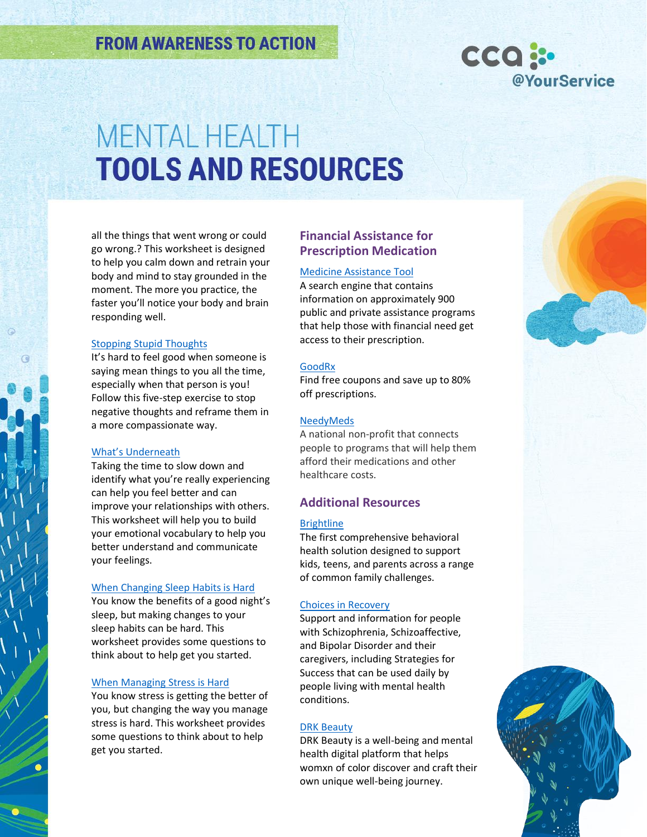

all the things that went wrong or could go wrong.? This worksheet is designed to help you calm down and retrain your body and mind to stay grounded in the moment. The more you practice, the faster you'll notice your body and brain responding well.

### [Stopping Stupid Thoughts](https://www.mhanational.org/sites/default/files/Worksheet%20-%20Stopping%20Stupid%20Thoughts.pdf)

It's hard to feel good when someone is saying mean things to you all the time, especially when that person is you! Follow this five-step exercise to stop negative thoughts and reframe them in a more compassionate way.

#### [What's Underneath](https://www.mhanational.org/sites/default/files/Worksheet%20-%20Whats%20Underneath.pdf)

Taking the time to slow down and identify what you're really experiencing can help you feel better and can improve your relationships with others. This worksheet will help you to build your emotional vocabulary to help you better understand and communicate your feelings.

#### [When Changing Sleep Habits is Hard](https://www.mhanational.org/sites/default/files/Worksheet%20-%20When%20Changing%20Sleep%20is%20Hard_0.pdf)

You know the benefits of a good night's sleep, but making changes to your sleep habits can be hard. This worksheet provides some questions to think about to help get you started.

### [When Managing Stress is Hard](https://www.mhanational.org/sites/default/files/Worksheet%20-%20When%20Managing%20Stress%20is%20Hard_0.pdf)

You know stress is getting the better of you, but changing the way you manage stress is hard. This worksheet provides some questions to think about to help get you started.

# **Financial Assistance for Prescription Medication**

#### [Medicine Assistance Tool](https://medicineassistancetool.org/)

A search engine that contains information on approximately 900 public and private assistance programs that help those with financial need get access to their prescription.

#### [GoodRx](https://www.goodrx.com/go/homepage-lander-sem-7?c=homepage-lander-sem-7&utm_campaign=127243741&utm_content=7699746781&utm_source=google&utm_medium=cpc&utm_term=kwd-54255549541&gclid=CjwKCAjw0a-SBhBkEiwApljU0vcpJjSdG0WGi4O_aTDdJUn3ISe08CXGyvaPy6_VB8DsYR_S_rCjRxoCeC4QAvD_BwE&gclsrc=aw.ds)

Find free coupons and save up to 80% off prescriptions.

#### **[NeedyMeds](https://www.needymeds.org/)**

A national non-profit that connects people to programs that will help them afford their medications and other healthcare costs.

## **Additional Resources**

## **[Brightline](https://hellobrightline.com/)**

The first comprehensive behavioral health solution designed to support kids, teens, and parents across a range of common family challenges.

#### [Choices in Recovery](https://www.choicesinrecovery.com/)

Support and information for people with Schizophrenia, Schizoaffective, and Bipolar Disorder and their caregivers, including Strategies for Success that can be used daily by people living with mental health conditions.

#### [DRK Beauty](https://drkbeautyhealing.org/)

DRK Beauty is a well-being and mental health digital platform that helps womxn of color discover and craft their own unique well-being journey.